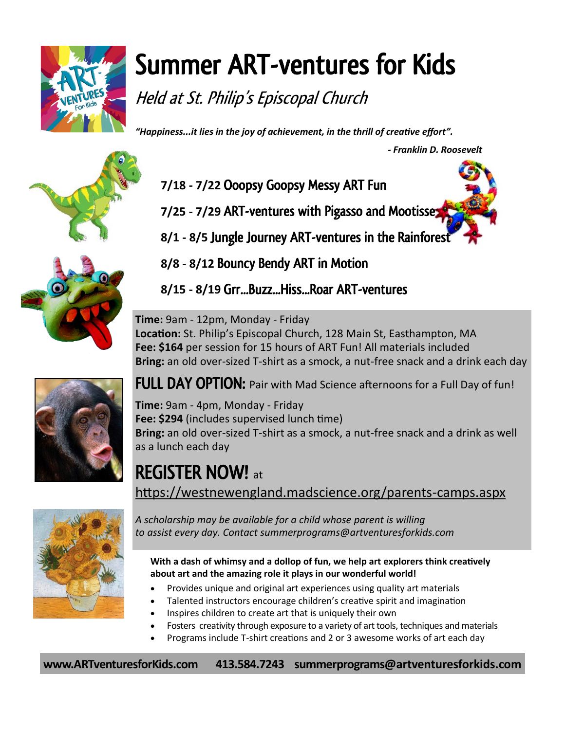

## Summer ART-ventures for Kids

Held at St. Philip's Episcopal Church

*"Happiness...it lies in the joy of achievement, in the thrill of creative effort".* 

 *- Franklin D. Roosevelt* 





- **7/18 - 7/22** Ooopsy Goopsy Messy ART Fun
- **7/25 - 7/29** ART-ventures with Pigasso and Mootisse
- **8/1 - 8/5** Jungle Journey ART-ventures in the Rainforest
- **8/8 - 8/12** Bouncy Bendy ART in Motion

**8/15 - 8/19** Grr...Buzz...Hiss...Roar ART-ventures

**Time:** 9am - 12pm, Monday - Friday **Location:** St. Philip's Episcopal Church, 128 Main St, Easthampton, MA **Fee: \$164** per session for 15 hours of ART Fun! All materials included **Bring:** an old over-sized T-shirt as a smock, a nut-free snack and a drink each day



FULL DAY OPTION: Pair with Mad Science afternoons for a Full Day of fun!

**Time:** 9am - 4pm, Monday - Friday **Fee: \$294** (includes supervised lunch time) **Bring:** an old over-sized T-shirt as a smock, a nut-free snack and a drink as well as a lunch each day

REGISTER NOW! at [https://westnewengland.madscience.org/parents](https://westnewengland.madscience.org/parents-camps.aspx)-camps.aspx



*A scholarship may be available for a child whose parent is willing to assist every day. Contact summerprograms@artventuresforkids.com*

**With a dash of whimsy and a dollop of fun, we help art explorers think creatively about art and the amazing role it plays in our wonderful world!** 

- Provides unique and original art experiences using quality art materials
- Talented instructors encourage children's creative spirit and imagination
- Inspires children to create art that is uniquely their own
- Fosters creativity through exposure to a variety of art tools, techniques and materials
- Programs include T‐shirt creations and 2 or 3 awesome works of art each day

**www.ARTventuresforKids.com 413.584.7243 summerprograms@artventuresforkids.com**